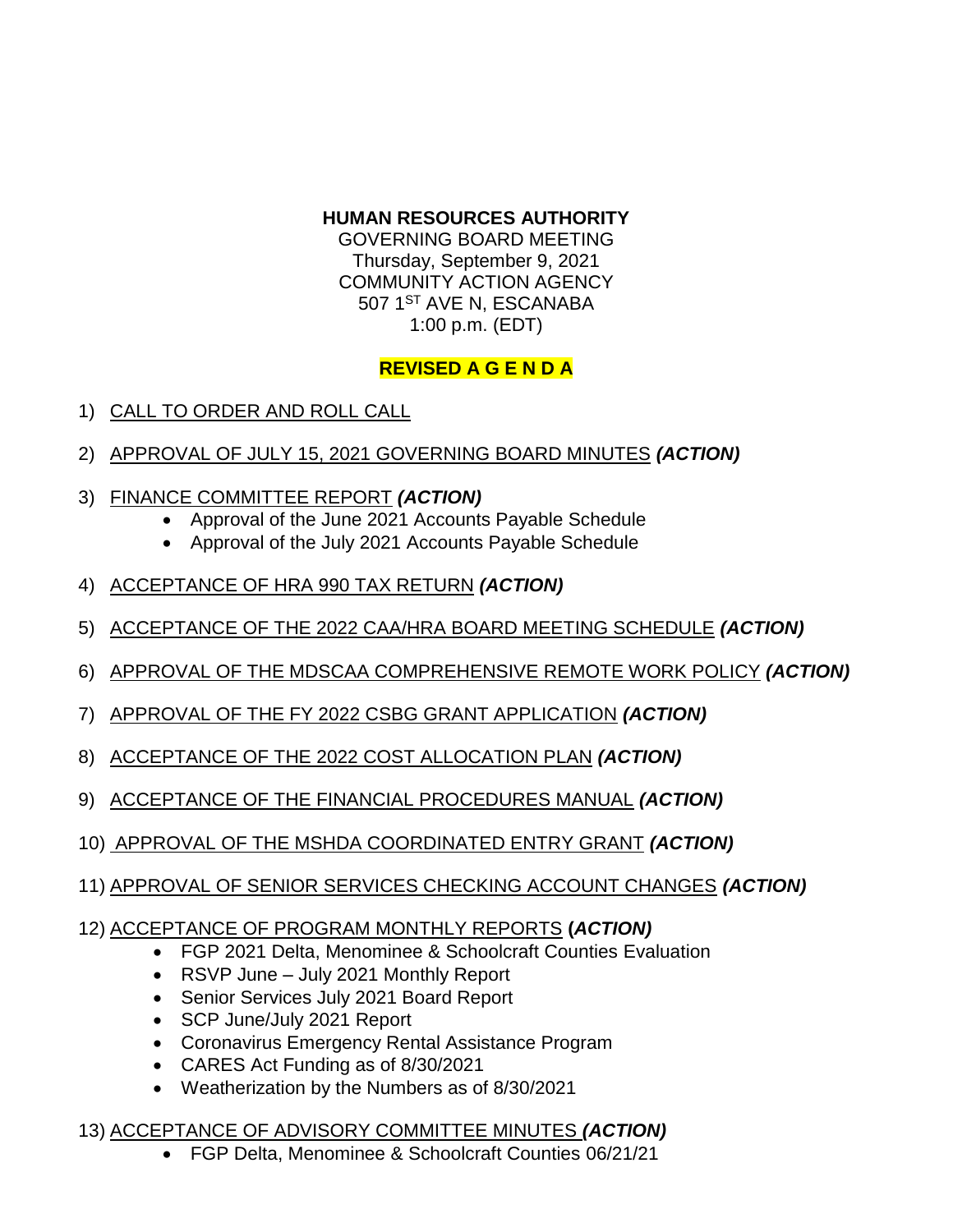#### **HUMAN RESOURCES AUTHORITY**

GOVERNING BOARD MEETING Thursday, September 9, 2021 COMMUNITY ACTION AGENCY 507 1<sup>ST</sup> AVE N, ESCANABA 1:00 p.m. (EDT)

## **REVISED A G E N D A**

- 1) CALL TO ORDER AND ROLL CALL
- 2) APPROVAL OF JULY 15, 2021 GOVERNING BOARD MINUTES *(ACTION)*
- 3) FINANCE COMMITTEE REPORT *(ACTION)*
	- Approval of the June 2021 Accounts Payable Schedule
	- Approval of the July 2021 Accounts Payable Schedule
- 4) ACCEPTANCE OF HRA 990 TAX RETURN *(ACTION)*
- 5) ACCEPTANCE OF THE 2022 CAA/HRA BOARD MEETING SCHEDULE *(ACTION)*
- 6) APPROVAL OF THE MDSCAA COMPREHENSIVE REMOTE WORK POLICY *(ACTION)*
- 7) APPROVAL OF THE FY 2022 CSBG GRANT APPLICATION *(ACTION)*
- 8) ACCEPTANCE OF THE 2022 COST ALLOCATION PLAN *(ACTION)*
- 9) ACCEPTANCE OF THE FINANCIAL PROCEDURES MANUAL *(ACTION)*
- 10) APPROVAL OF THE MSHDA COORDINATED ENTRY GRANT *(ACTION)*
- 11) APPROVAL OF SENIOR SERVICES CHECKING ACCOUNT CHANGES *(ACTION)*

### 12) ACCEPTANCE OF PROGRAM MONTHLY REPORTS **(***ACTION)*

- FGP 2021 Delta, Menominee & Schoolcraft Counties Evaluation
- RSVP June July 2021 Monthly Report
- Senior Services July 2021 Board Report
- SCP June/July 2021 Report
- Coronavirus Emergency Rental Assistance Program
- CARES Act Funding as of 8/30/2021
- Weatherization by the Numbers as of 8/30/2021

### 13) ACCEPTANCE OF ADVISORY COMMITTEE MINUTES *(ACTION)*

FGP Delta, Menominee & Schoolcraft Counties 06/21/21